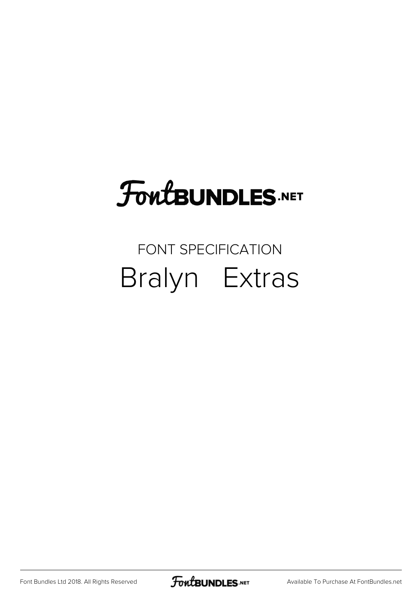## FoutBUNDLES.NET

## FONT SPECIFICATION Bralyn Extras

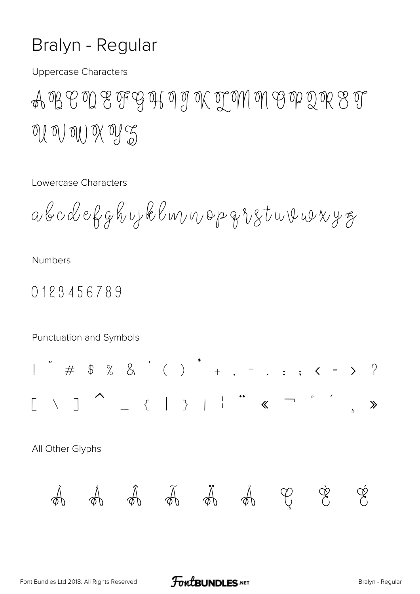## Bralyn - Regular

**Uppercase Characters** 

A B C D E F G H I J K T M M G P Q R S T of of our of the

Lowercase Characters

abcdekghujklmnopqvstuvuvyg

**Numbers** 

0123456789

Punctuation and Symbols  $\gg$ All Other Glyphs Li A A A  $\varphi$  $\varphi$  $\mathbb{P}$  $\varphi$  $\mathcal{A}$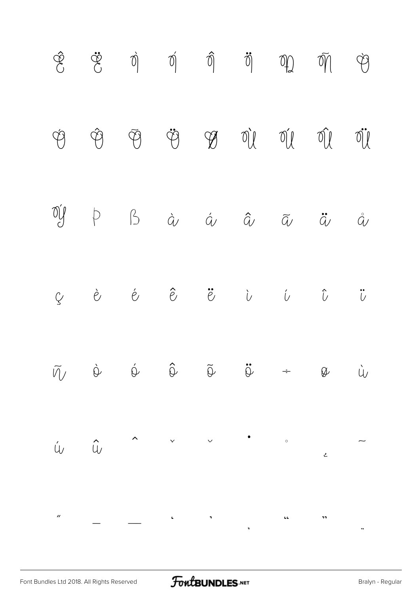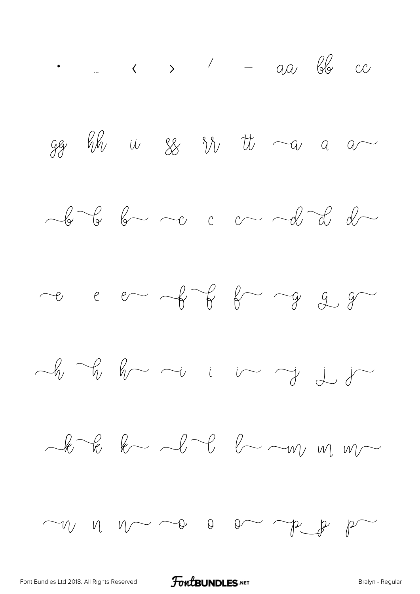